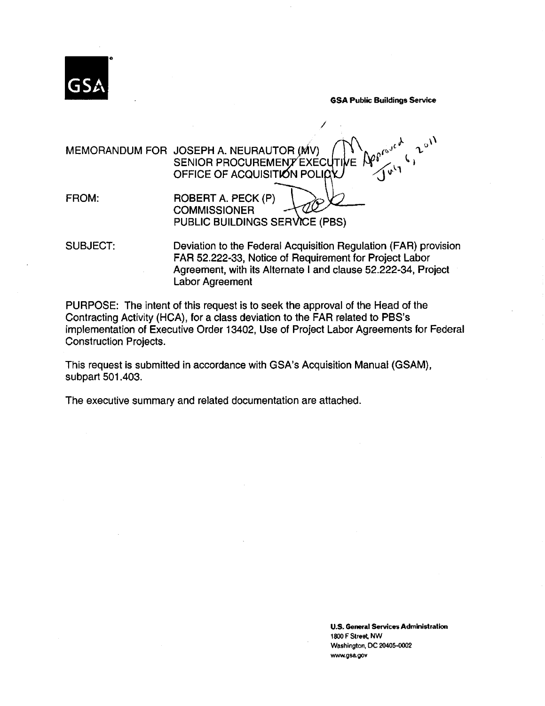

GSA Public Buildings Service

/ MEMORANDUM FOR JOSEPH A. NEURAUTOR  $(MV) \sim \int_{N} N \int_{N} e^{j \cdot t}$ SENIOR PROCUREMENT EXECUTIVE FROM: OFFICE OF ACQUISITION POLIC ROBERT A. PECK (P) **COMMISSIONER** PUBLIC BUILDINGS SERVICE (PBS)

SUBJECT: Deviation to the Federal Acquisition Regulation (FAR) provision FAR 52.222-33, Notice of Requirement for Project Labor Agreement, with its Alternate I and clause 52.222-34, Project Labor Agreement

PURPOSE: The intent of this request is to seek the approval of the Head of the Contracting Activity (HCA), for a class deviation to the FAR related to PBS's implementation of Executive Order 13402, Use of Project Labor Agreements for Federal Construction Projects.

This request is submitted in accordance with GSA's Acquisition Manual (GSAM), subpart 501.403.

The executive summary and related documentation are attached.

U.S. General Services Administration 1800 F Street, NW Washington, DC 20405-0002 www.gsa.gov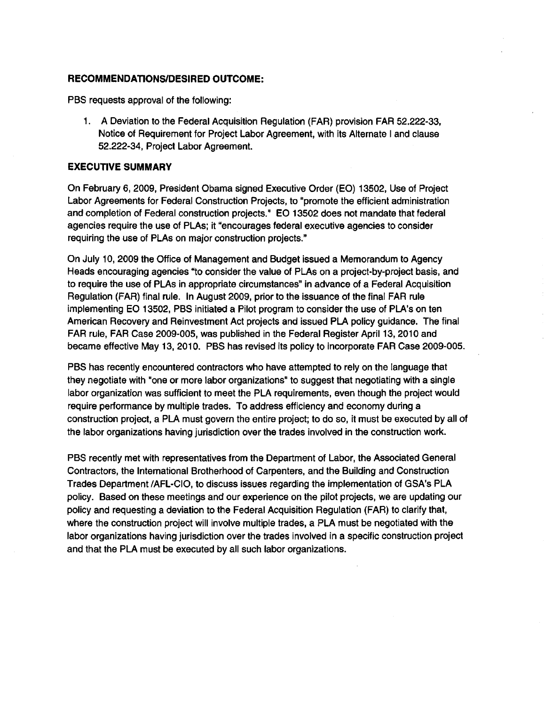### RECOMMENDATIONS/DESIRED OUTCOME:

PBS requests approval of the following:

1. A Deviation to the Federal Acquisition Regulation (FAR) provision FAR 52.222-33, Notice of Requirement for Project Labor Agreement, with its Alternate I and clause 52.222-34, Project Labor Agreement.

#### EXECUTIVE SUMMARY

On February 6, 2009, President Obama signed Executive Order (EO) 13502, Use of Project Labor Agreements for Federal Construction Projects, to "promote the efficient administration and completion of Federal construction projects." EO 13502 does not mandate that federal agencies require the use of PLAs; it "encourages federal executive agencies to consider requiring the use of PLAs on major construction projects."

On July 10, 2009 the Office of Management and Budget issued a Memorandum to Agency Heads encouraging agencies "to consider the value of PLAs on a project-by-project basis, and to require the use of PLAs in appropriate circumstances" in advance of a Federal Acquisition Regulation (FAR) final rule. In August 2009, prior to the issuance of the final FAR rule implementing EO 13502, PBS initiated a Pilot program to consider the use of PLA's on ten American Recovery and Reinvestment Act projects and issued PLA policy guidance. The final FAR rule, FAR Case 2009-005, was published in the Federal Register April 13, 2010 and became effective May 13, 2010. PBS has revised its policy to incorporate FAR Case 2009-005.

PBS has recently encountered contractors who have attempted to rely on the language that they negotiate with "one or more labor organizations" to suggest that negotiating with a single labor organization was sufficient to meet the PLA requirements, even though the project would require performance by multiple trades. To address efficiency and economy during a construction project, a PLA must govern the entire project; to do so, it must be executed by all of the labor organizations having jurisdiction over the trades involved in the construction work.

PBS recently met with representatives from the Department of Labor, the Associated General Contractors, the International Brotherhood of Carpenters, and the Building and Construction Trades Department /AFL-CIO, to discuss issues regarding the implementation of GSA's PLA policy. Based on these meetings and our experience on the pilot projects, we are updating our policy and requesting a deviation to the Federal Acquisition Regulation (FAR) to clarify that, where the construction project will involve multiple trades, a PLA must be negotiated with the labor organizations having jurisdiction over the trades involved in a specific construction project and that the PLA must be executed by all such labor organizations.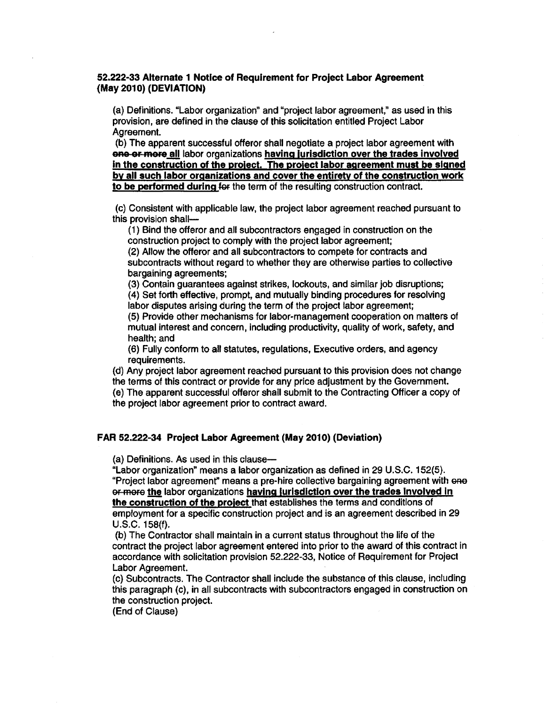#### 52.222-33 Alternate 1 Notice of Requirement for Project Labor Agreement (May 2010) (DEVIATION)

(a) Definitions. "Labor organization" and "project labor agreement," as used in this provision, are defined in the clause of this solicitation entitled Project Labor Agreement.

(b) The apparent successful offeror shall negotiate a project labor agreement with one or more all labor organizations having jurisdiction over the trades involved in the construction of the project. The project labor agreement must be signed by all such labor organizations and cover the entirety of the construction work to be performed during for the term of the resulting construction contract.

(c) Consistent with applicable law, the project labor agreement reached pursuant to this provision shall-

( 1) Bind the offeror and all subcontractors engaged in construction on the construction project to comply with the project labor agreement;

(2) Allow the offeror and all subcontractors to compete for contracts and subcontracts without regard to whether they are otherwise parties to collective bargaining agreements;

(3) Contain guarantees against strikes, lockouts, and similar job disruptions; (4) Set forth effective, prompt, and mutually binding procedures for resolving labor disputes arising during the term of the project labor agreement;

(5) Provide other mechanisms for labor-management cooperation on matters of mutual interest and concern, including productivity, quality of work, safety, and health; and

(6) Fully conform to all statutes, regulations, Executive orders, and agency requirements.

(d) Any project labor agreement reached pursuant to this provision does not change the terms of this contract or provide for any price adjustment by the Government.

(e) The apparent successful offeror shall submit to the Contracting Officer a copy of the project labor agreement prior to contract award.

#### FAR 52.222-34 Project Labor Agreement (May 2010) (Deviation)

(a) Definitions. As used in this clause-

"Labor organization" means a labor organization as defined in 29 U.S.C. 152(5). "Project labor agreement" means a pre-hire collective bargaining agreement with one or more the labor organizations having jurisdiction over the trades involved in the construction of the project that establishes the terms and conditions of employment for a specific construction project and is an agreement described in 29 u.s.c. 158(f).

(b) The Contractor shall maintain in a current status throughout the life of the contract the project labor agreement entered into prior to the award of this contract in accordance with solicitation provision 52.222-33, Notice of Requirement for Project Labor Agreement.

(c) Subcontracts. The Contractor shall include the substance of this clause, including this paragraph (c), in all subcontracts with subcontractors engaged in construction on the construction project.

(End of Clause)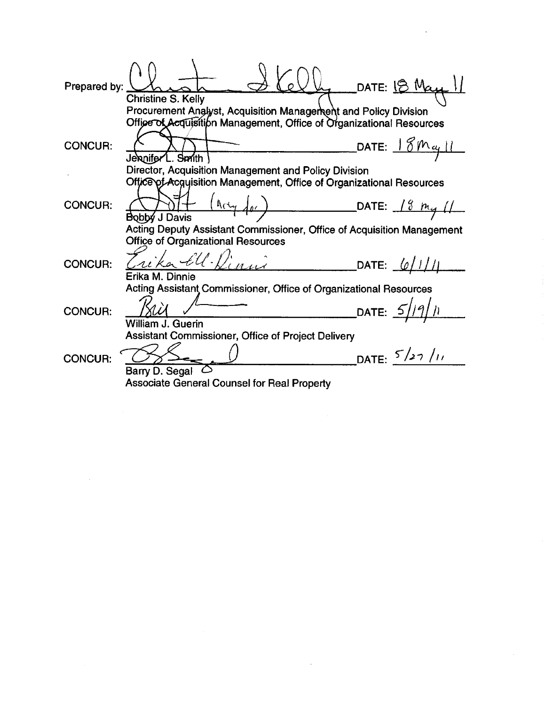DATE: 18 May Prepared by: **Christine S. Kelly** Procurement Analyst, Acquisition Management and Policy Division Office of Acquisition Management, Office of Organizational Resources DATE: <u>18May 11</u> **CONCUR:** Jennifer L. Smith Director, Acquisition Management and Policy Division Office of Acquisition Management, Office of Organizational Resources  $\frac{(a_{c2}d_{01})}{(a_{c1}d_{02})}$  DATE: 18  $m_{11}/(1)$ **CONCUR:** Bobby J Davis Acting Deputy Assistant Commissioner, Office of Acquisition Management **Office of Organizational Resources** rika Ell. Linui DATE: 6/1/11 **CONCUR:** Erika M. Dinnie Acting Assistant Commissioner, Office of Organizational Resources DATE:  $5/19/n$ **CONCUR:** William J. Guerin Assistant Commissioner, Office of Project Delivery  $\overline{\text{DATE: }}$   $5/27$  /11 **CONCUR:** Barry D. Segal  $\circlearrowright$ **Associate General Counsel for Real Property**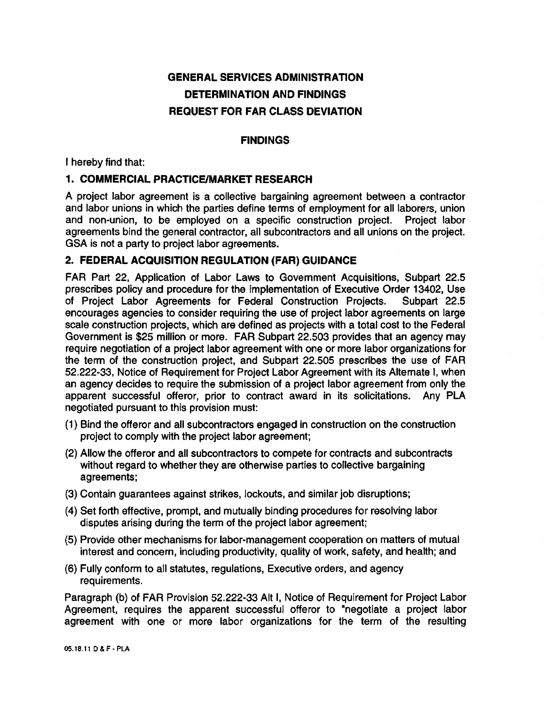# GENERAL SERVICES ADMINISTRATION DETERMINATION AND FINDINGS REQUEST FOR FAR CLASS DEVIATION

## FINDINGS

I hereby find that:

# 1. COMMERCIAL PRACTICE/MARKET RESEARCH

A project labor agreement is a collective bargaining agreement between a contractor and labor unions in which the parties define terms of employment for all laborers, union and non-union, to be employed on a specific construction project. Project labor agreements bind the general contractor, all subcontractors and all unions on the project. GSA is not a party to project labor agreements.

## 2. FEDERAL ACQUISITION REGULATION (FAR) GUIDANCE

FAR Part 22, Application of Labor Laws to Government Acquisitions, Subpart 22.5 prescribes policy and procedure for the implementation of Executive Order 13402, Use of Project Labor Agreements for Federal Construction Projects. Subpart 22.5 encourages agencies to consider requiring the use of project labor agreements on large scale construction projects, which are defined as projects with a total cost to the Federal Government is \$25 million or more. FAR Subpart 22.503 provides that an agency may require negotiation of a project labor agreement with one or more labor organizations for the term of the construction project, and Subpart 22.505 prescribes the use of FAR 52.222-33, Notice of Requirement for Project Labor Agreement with its Alternate I, when an agency decides to require the submission of a project labor agreement from only the apparent successful offeror, prior to contract award in its solicitations. Any PLA negotiated pursuant to this provision must:

- (1) Bind the offeror and all subcontractors engaged in construction on the construction project to comply with the project labor agreement;
- (2) Allow the offerer and all subcontractors to compete for contracts and subcontracts without regard to whether they are otherwise parties to collective bargaining agreements;
- (3) Contain guarantees against strikes, lockouts, and similar job disruptions;
- (4) Set forth effective, prompt, and mutually binding procedures for resolving labor disputes arising during the term of the project labor agreement;
- (5) Provide other mechanisms for labor-management cooperation on matters of mutual interest and concern, including productivity, quality of work, safety, and health; and
- (6) Fully conform to all statutes, regulations, Executive orders, and agency requirements.

Paragraph (b) of FAR Provision 52.222-33 Alt I, Notice of Requirement for Project Labor Agreement, requires the apparent successful offeror to "negotiate a project labor agreement with one or more labor organizations for the term of the resulting